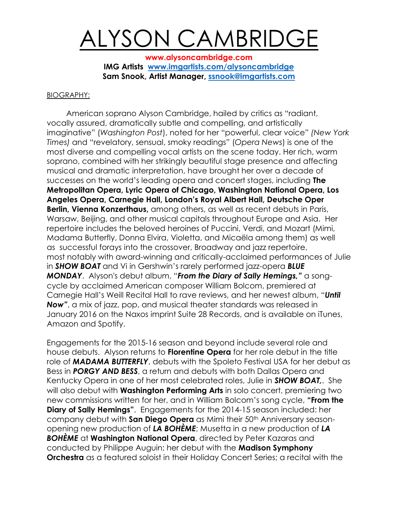## ALYSON CAMBRIDGE

**[www.alysoncambridge.com](http://www.alysoncambridge.com/) IMG Artists [www.imgartists.com/alysoncambridge](http://www.imgartists.com/alysoncambridge) Sam Snook, Artist Manager, [ssnook@imgartists.com](mailto:ssnook@imgartists.com)**

## BIOGRAPHY:

American soprano Alyson Cambridge, hailed by critics as "radiant, vocally assured, dramatically subtle and compelling, and artistically imaginative" (*Washington Post*), noted for her "powerful, clear voice" *(New York Times)* and "revelatory, sensual, smoky readings" (*Opera News*) is one of the most diverse and compelling vocal artists on the scene today. Her rich, warm soprano, combined with her strikingly beautiful stage presence and affecting musical and dramatic interpretation, have brought her over a decade of successes on the world's leading opera and concert stages, including **The Metropolitan Opera, Lyric Opera of Chicago, Washington National Opera, Los Angeles Opera, Carnegie Hall, London's Royal Albert Hall, Deutsche Oper Berlin, Vienna Konzerthaus,** among others, as well as recent debuts in Paris, Warsaw, Beijing, and other musical capitals throughout Europe and Asia. Her repertoire includes the beloved heroines of Puccini, Verdi, and Mozart (Mimi, Madama Butterfly, Donna Elvira, Violetta, and Micaëla among them) as well as successful forays into the crossover, Broadway and jazz repertoire, most notably with award-winning and critically-acclaimed performances of Julie in *SHOW BOAT* and Vi in Gershwin's rarely performed jazz-opera *BLUE MONDAY*. Alyson's debut album, "*From the Diary of Sally Hemings,"* a songcycle by acclaimed American composer William Bolcom, premiered at Carnegie Hall's Weill Recital Hall to rave reviews, and her newest album, "*Until Now"*, a mix of jazz, pop, and musical theater standards was released in January 2016 on the Naxos imprint Suite 28 Records, and is available on iTunes, Amazon and Spotify.

Engagements for the 2015-16 season and beyond include several role and house debuts. Alyson returns to **Florentine Opera** for her role debut in the title role of *MADAMA BUTTERFLY*, debuts with the Spoleto Festival USA for her debut as Bess in *PORGY AND BESS*, a return and debuts with both Dallas Opera and Kentucky Opera in one of her most celebrated roles, Julie in *SHOW BOAT,*. She will also debut with **Washington Performing Arts** in solo concert, premiering two new commissions written for her, and in William Bolcom's song cycle, **"From the Diary of Sally Hemings"**. Engagements for the 2014-15 season included: her company debut with **San Diego Opera** as Mimi their 50<sup>th</sup> Anniversary seasonopening new production of *LA BOHÈME*; Musetta in a new production of *LA BOHÈME* at **Washington National Opera**, directed by Peter Kazaras and conducted by Philippe Auguin; her debut with the **Madison Symphony Orchestra** as a featured soloist in their Holiday Concert Series; a recital with the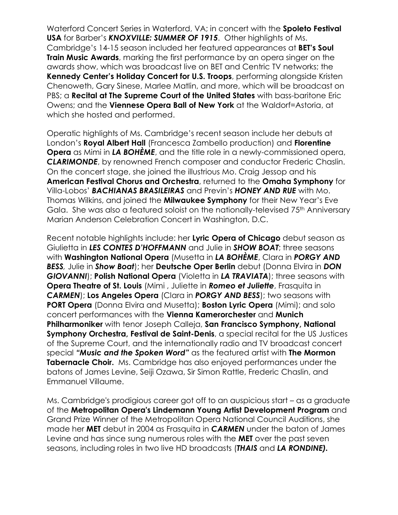Waterford Concert Series in Waterford, VA; in concert with the **Spoleto Festival USA** for Barber's *KNOXVILLE: SUMMER OF 1915*. Other highlights of Ms. Cambridge's 14-15 season included her featured appearances at **BET's Soul Train Music Awards**, marking the first performance by an opera singer on the awards show, which was broadcast live on BET and Centric TV networks; the **Kennedy Center's Holiday Concert for U.S. Troops**, performing alongside Kristen Chenoweth, Gary Sinese, Marlee Matlin, and more, which will be broadcast on PBS; a **Recital at The Supreme Court of the United States** with bass-baritone Eric Owens; and the **Viennese Opera Ball of New York** at the Waldorf=Astoria, at which she hosted and performed.

Operatic highlights of Ms. Cambridge's recent season include her debuts at London's **Royal Albert Hall** (Francesca Zambello production) and **Florentine Opera** as Mimi in *LA BOHÈME*, and the title role in a newly-commissioned opera, *CLARIMONDE*, by renowned French composer and conductor Frederic Chaslin. On the concert stage, she joined the illustrious Mo. Craig Jessop and his **American Festival Chorus and Orchestra**, returned to the **Omaha Symphony** for Villa-Lobos' *BACHIANAS BRASILEIRAS* and Previn's *HONEY AND RUE* with Mo. Thomas Wilkins, and joined the **Milwaukee Symphony** for their New Year's Eve Gala. She was also a featured soloist on the nationally-televised 75<sup>th</sup> Anniversary Marian Anderson Celebration Concert in Washington, D.C.

Recent notable highlights include: her **Lyric Opera of Chicago** debut season as Giulietta in *LES CONTES D'HOFFMANN* and Julie in *SHOW BOAT*; three seasons with **Washington National Opera** (Musetta in *LA BOHÈME*, Clara in *PORGY AND BESS,* Julie in *Show Boat*); her **Deutsche Oper Berlin** debut (Donna Elvira in *DON GIOVANNI*); **Polish National Opera** (Violetta in *LA TRAVIATA*); three seasons with **Opera Theatre of St. Louis** (Mimi , Juliette in *Romeo et Juliette*, Frasquita in *CARMEN*); **Los Angeles Opera** (Clara in *PORGY AND BESS*); two seasons with **PORT Opera** (Donna Elvira and Musetta); **Boston Lyric Opera** (Mimi); and solo concert performances with the **Vienna Kamerorchester** and **Munich Philharmoniker** with tenor Joseph Calleja, **San Francisco Symphony, National Symphony Orchestra, Festival de Saint-Denis, a special recital for the US Justices** of the Supreme Court, and the internationally radio and TV broadcast concert special *"Music and the Spoken Word"* as the featured artist with **The Mormon Tabernacle Choir.** Ms. Cambridge has also enjoyed performances under the batons of James Levine, Seiji Ozawa, Sir Simon Rattle, Frederic Chaslin, and Emmanuel Villaume.

Ms. Cambridge's prodigious career got off to an auspicious start – as a graduate of the **Metropolitan Opera's Lindemann Young Artist Development Program** and Grand Prize Winner of the Metropolitan Opera National Council Auditions, she made her **MET** debut in 2004 as Frasquita in *CARMEN* under the baton of James Levine and has since sung numerous roles with the **MET** over the past seven seasons, including roles in two live HD broadcasts (*THAIS* and *LA RONDINE).*